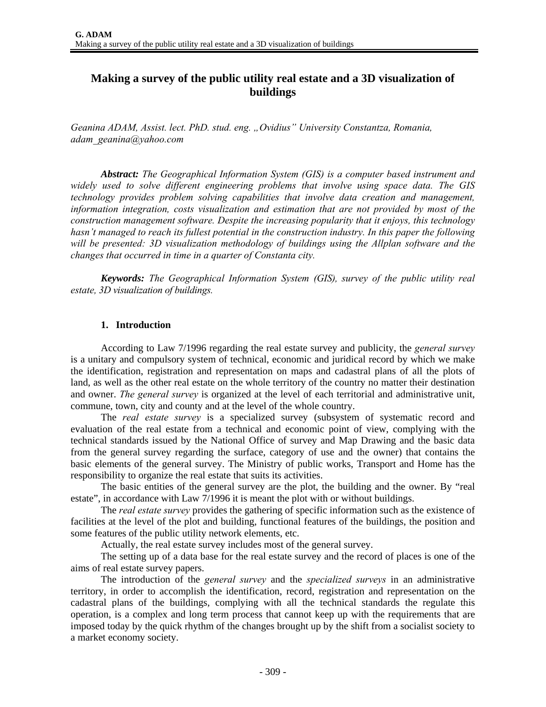## **Making a survey of the public utility real estate and a 3D visualization of buildings**

*Geanina ADAM, Assist. lect. PhD. stud. eng. "Ovidius" University Constantza, Romania, adam\_geanina@yahoo.com* 

*Abstract: The Geographical Information System (GIS) is a computer based instrument and widely used to solve different engineering problems that involve using space data. The GIS technology provides problem solving capabilities that involve data creation and management, information integration, costs visualization and estimation that are not provided by most of the construction management software. Despite the increasing popularity that it enjoys, this technology hasn't managed to reach its fullest potential in the construction industry. In this paper the following will be presented: 3D visualization methodology of buildings using the Allplan software and the changes that occurred in time in a quarter of Constanta city.* 

*Keywords: The Geographical Information System (GIS), survey of the public utility real estate, 3D visualization of buildings.* 

#### **1. Introduction**

According to Law 7/1996 regarding the real estate survey and publicity, the *general survey* is a unitary and compulsory system of technical, economic and juridical record by which we make the identification, registration and representation on maps and cadastral plans of all the plots of land, as well as the other real estate on the whole territory of the country no matter their destination and owner. *The general survey* is organized at the level of each territorial and administrative unit, commune, town, city and county and at the level of the whole country.

The *real estate survey* is a specialized survey (subsystem of systematic record and evaluation of the real estate from a technical and economic point of view, complying with the technical standards issued by the National Office of survey and Map Drawing and the basic data from the general survey regarding the surface, category of use and the owner) that contains the basic elements of the general survey. The Ministry of public works, Transport and Home has the responsibility to organize the real estate that suits its activities.

The basic entities of the general survey are the plot, the building and the owner. By "real estate", in accordance with Law 7/1996 it is meant the plot with or without buildings.

The *real estate survey* provides the gathering of specific information such as the existence of facilities at the level of the plot and building, functional features of the buildings, the position and some features of the public utility network elements, etc.

Actually, the real estate survey includes most of the general survey.

The setting up of a data base for the real estate survey and the record of places is one of the aims of real estate survey papers.

The introduction of the *general survey* and the *specialized surveys* in an administrative territory, in order to accomplish the identification, record, registration and representation on the cadastral plans of the buildings, complying with all the technical standards the regulate this operation, is a complex and long term process that cannot keep up with the requirements that are imposed today by the quick rhythm of the changes brought up by the shift from a socialist society to a market economy society.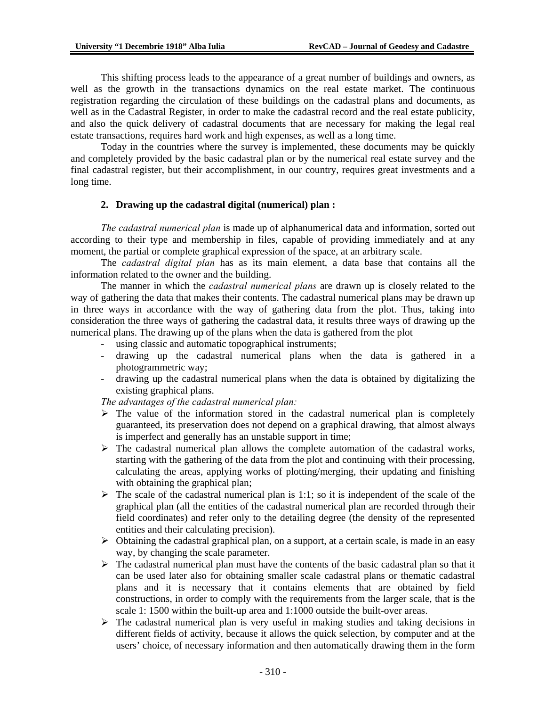This shifting process leads to the appearance of a great number of buildings and owners, as well as the growth in the transactions dynamics on the real estate market. The continuous registration regarding the circulation of these buildings on the cadastral plans and documents, as well as in the Cadastral Register, in order to make the cadastral record and the real estate publicity, and also the quick delivery of cadastral documents that are necessary for making the legal real estate transactions, requires hard work and high expenses, as well as a long time.

Today in the countries where the survey is implemented, these documents may be quickly and completely provided by the basic cadastral plan or by the numerical real estate survey and the final cadastral register, but their accomplishment, in our country, requires great investments and a long time.

#### **2. Drawing up the cadastral digital (numerical) plan :**

*The cadastral numerical plan* is made up of alphanumerical data and information, sorted out according to their type and membership in files, capable of providing immediately and at any moment, the partial or complete graphical expression of the space, at an arbitrary scale.

The *cadastral digital plan* has as its main element, a data base that contains all the information related to the owner and the building.

The manner in which the *cadastral numerical plans* are drawn up is closely related to the way of gathering the data that makes their contents. The cadastral numerical plans may be drawn up in three ways in accordance with the way of gathering data from the plot. Thus, taking into consideration the three ways of gathering the cadastral data, it results three ways of drawing up the numerical plans. The drawing up of the plans when the data is gathered from the plot

- using classic and automatic topographical instruments;
- drawing up the cadastral numerical plans when the data is gathered in a photogrammetric way;
- drawing up the cadastral numerical plans when the data is obtained by digitalizing the existing graphical plans.

*The advantages of the cadastral numerical plan:* 

- $\triangleright$  The value of the information stored in the cadastral numerical plan is completely guaranteed, its preservation does not depend on a graphical drawing, that almost always is imperfect and generally has an unstable support in time;
- $\triangleright$  The cadastral numerical plan allows the complete automation of the cadastral works, starting with the gathering of the data from the plot and continuing with their processing, calculating the areas, applying works of plotting/merging, their updating and finishing with obtaining the graphical plan;
- $\triangleright$  The scale of the cadastral numerical plan is 1:1; so it is independent of the scale of the graphical plan (all the entities of the cadastral numerical plan are recorded through their field coordinates) and refer only to the detailing degree (the density of the represented entities and their calculating precision).
- $\triangleright$  Obtaining the cadastral graphical plan, on a support, at a certain scale, is made in an easy way, by changing the scale parameter.
- $\triangleright$  The cadastral numerical plan must have the contents of the basic cadastral plan so that it can be used later also for obtaining smaller scale cadastral plans or thematic cadastral plans and it is necessary that it contains elements that are obtained by field constructions, in order to comply with the requirements from the larger scale, that is the scale 1: 1500 within the built-up area and 1:1000 outside the built-over areas.
- $\triangleright$  The cadastral numerical plan is very useful in making studies and taking decisions in different fields of activity, because it allows the quick selection, by computer and at the users' choice, of necessary information and then automatically drawing them in the form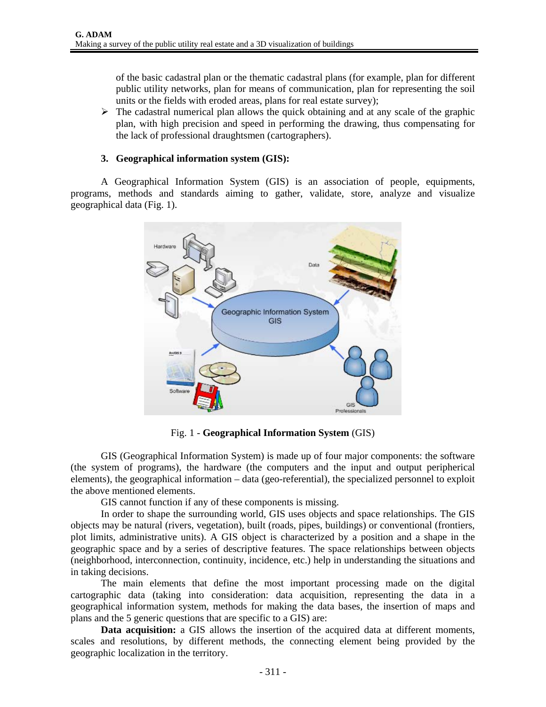of the basic cadastral plan or the thematic cadastral plans (for example, plan for different public utility networks, plan for means of communication, plan for representing the soil units or the fields with eroded areas, plans for real estate survey);

 $\triangleright$  The cadastral numerical plan allows the quick obtaining and at any scale of the graphic plan, with high precision and speed in performing the drawing, thus compensating for the lack of professional draughtsmen (cartographers).

#### **3. Geographical information system (GIS):**

A Geographical Information System (GIS) is an association of people, equipments, programs, methods and standards aiming to gather, validate, store, analyze and visualize geographical data (Fig. 1).



Fig. 1 - **Geographical Information System** (GIS)

GIS (Geographical Information System) is made up of four major components: the software (the system of programs), the hardware (the computers and the input and output peripherical elements), the geographical information – data (geo-referential), the specialized personnel to exploit the above mentioned elements.

GIS cannot function if any of these components is missing.

 In order to shape the surrounding world, GIS uses objects and space relationships. The GIS objects may be natural (rivers, vegetation), built (roads, pipes, buildings) or conventional (frontiers, plot limits, administrative units). A GIS object is characterized by a position and a shape in the geographic space and by a series of descriptive features. The space relationships between objects (neighborhood, interconnection, continuity, incidence, etc.) help in understanding the situations and in taking decisions.

The main elements that define the most important processing made on the digital cartographic data (taking into consideration: data acquisition, representing the data in a geographical information system, methods for making the data bases, the insertion of maps and plans and the 5 generic questions that are specific to a GIS) are:

**Data acquisition:** a GIS allows the insertion of the acquired data at different moments, scales and resolutions, by different methods, the connecting element being provided by the geographic localization in the territory.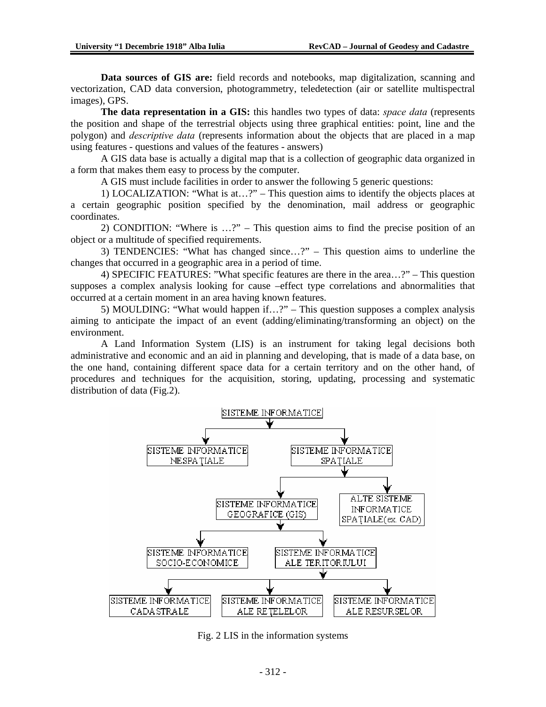**Data sources of GIS are:** field records and notebooks, map digitalization, scanning and vectorization, CAD data conversion, photogrammetry, teledetection (air or satellite multispectral images), GPS.

**The data representation in a GIS:** this handles two types of data: *space data* (represents the position and shape of the terrestrial objects using three graphical entities: point, line and the polygon) and *descriptive data* (represents information about the objects that are placed in a map using features - questions and values of the features - answers)

A GIS data base is actually a digital map that is a collection of geographic data organized in a form that makes them easy to process by the computer.

A GIS must include facilities in order to answer the following 5 generic questions:

1) LOCALIZATION: "What is at…?" – This question aims to identify the objects places at a certain geographic position specified by the denomination, mail address or geographic coordinates.

2) CONDITION: "Where is …?" – This question aims to find the precise position of an object or a multitude of specified requirements.

3) TENDENCIES: "What has changed since…?" – This question aims to underline the changes that occurred in a geographic area in a period of time.

4) SPECIFIC FEATURES: "What specific features are there in the area…?" – This question supposes a complex analysis looking for cause –effect type correlations and abnormalities that occurred at a certain moment in an area having known features.

5) MOULDING: "What would happen if…?" – This question supposes a complex analysis aiming to anticipate the impact of an event (adding/eliminating/transforming an object) on the environment.

A Land Information System (LIS) is an instrument for taking legal decisions both administrative and economic and an aid in planning and developing, that is made of a data base, on the one hand, containing different space data for a certain territory and on the other hand, of procedures and techniques for the acquisition, storing, updating, processing and systematic distribution of data (Fig.2).



Fig. 2 LIS in the information systems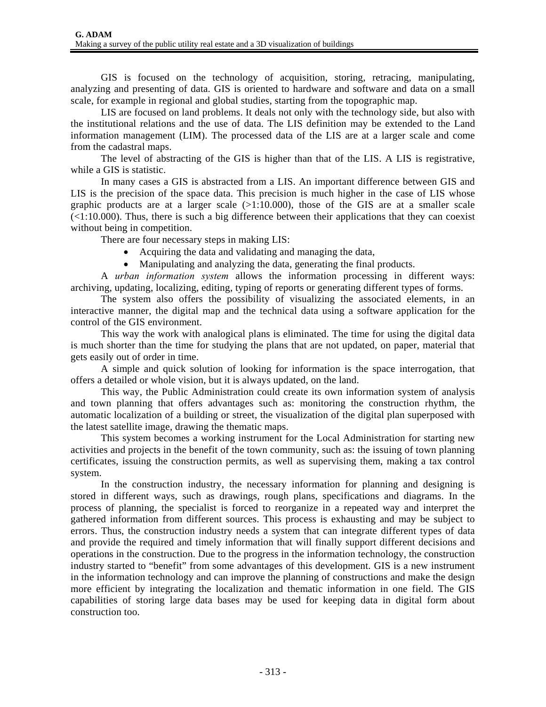GIS is focused on the technology of acquisition, storing, retracing, manipulating, analyzing and presenting of data. GIS is oriented to hardware and software and data on a small scale, for example in regional and global studies, starting from the topographic map.

LIS are focused on land problems. It deals not only with the technology side, but also with the institutional relations and the use of data. The LIS definition may be extended to the Land information management (LIM). The processed data of the LIS are at a larger scale and come from the cadastral maps.

The level of abstracting of the GIS is higher than that of the LIS. A LIS is registrative, while a GIS is statistic.

In many cases a GIS is abstracted from a LIS. An important difference between GIS and LIS is the precision of the space data. This precision is much higher in the case of LIS whose graphic products are at a larger scale  $(>1:10.000)$ , those of the GIS are at a smaller scale  $\left($ <1:10.000). Thus, there is such a big difference between their applications that they can coexist without being in competition.

There are four necessary steps in making LIS:

- Acquiring the data and validating and managing the data,
- Manipulating and analyzing the data, generating the final products.

A *urban information system* allows the information processing in different ways: archiving, updating, localizing, editing, typing of reports or generating different types of forms.

The system also offers the possibility of visualizing the associated elements, in an interactive manner, the digital map and the technical data using a software application for the control of the GIS environment.

This way the work with analogical plans is eliminated. The time for using the digital data is much shorter than the time for studying the plans that are not updated, on paper, material that gets easily out of order in time.

A simple and quick solution of looking for information is the space interrogation, that offers a detailed or whole vision, but it is always updated, on the land.

This way, the Public Administration could create its own information system of analysis and town planning that offers advantages such as: monitoring the construction rhythm, the automatic localization of a building or street, the visualization of the digital plan superposed with the latest satellite image, drawing the thematic maps.

This system becomes a working instrument for the Local Administration for starting new activities and projects in the benefit of the town community, such as: the issuing of town planning certificates, issuing the construction permits, as well as supervising them, making a tax control system.

In the construction industry, the necessary information for planning and designing is stored in different ways, such as drawings, rough plans, specifications and diagrams. In the process of planning, the specialist is forced to reorganize in a repeated way and interpret the gathered information from different sources. This process is exhausting and may be subject to errors. Thus, the construction industry needs a system that can integrate different types of data and provide the required and timely information that will finally support different decisions and operations in the construction. Due to the progress in the information technology, the construction industry started to "benefit" from some advantages of this development. GIS is a new instrument in the information technology and can improve the planning of constructions and make the design more efficient by integrating the localization and thematic information in one field. The GIS capabilities of storing large data bases may be used for keeping data in digital form about construction too.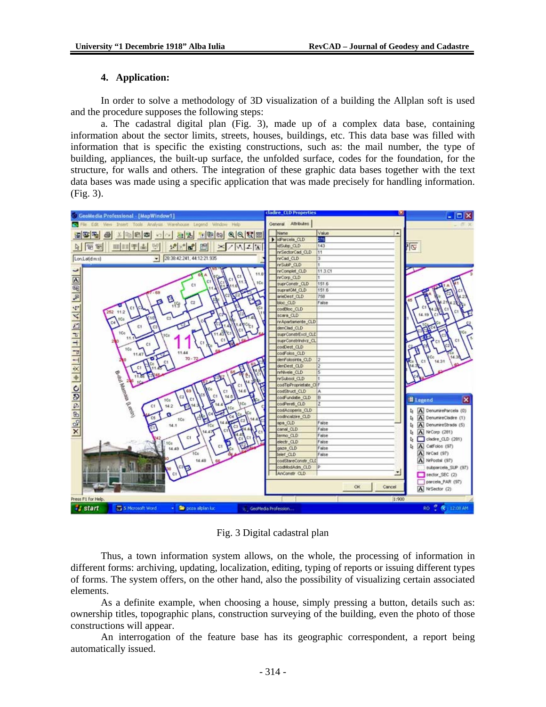#### **4. Application:**

In order to solve a methodology of 3D visualization of a building the Allplan soft is used and the procedure supposes the following steps:

a. The cadastral digital plan (Fig. 3), made up of a complex data base, containing information about the sector limits, streets, houses, buildings, etc. This data base was filled with information that is specific the existing constructions, such as: the mail number, the type of building, appliances, the built-up surface, the unfolded surface, codes for the foundation, for the structure, for walls and others. The integration of these graphic data bases together with the text data bases was made using a specific application that was made precisely for handling information. (Fig. 3).



Fig. 3 Digital cadastral plan

Thus, a town information system allows, on the whole, the processing of information in different forms: archiving, updating, localization, editing, typing of reports or issuing different types of forms. The system offers, on the other hand, also the possibility of visualizing certain associated elements.

As a definite example, when choosing a house, simply pressing a button, details such as: ownership titles, topographic plans, construction surveying of the building, even the photo of those constructions will appear.

An interrogation of the feature base has its geographic correspondent, a report being automatically issued.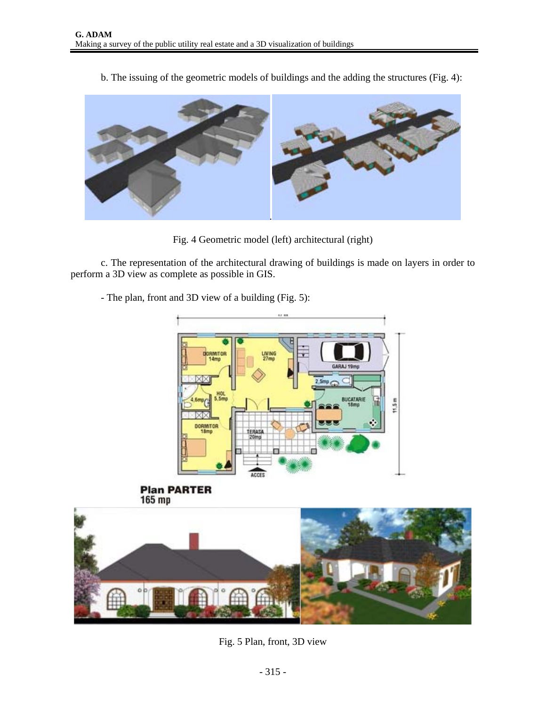b. The issuing of the geometric models of buildings and the adding the structures (Fig. 4):



Fig. 4 Geometric model (left) architectural (right)

c. The representation of the architectural drawing of buildings is made on layers in order to perform a 3D view as complete as possible in GIS.

- The plan, front and 3D view of a building (Fig. 5):







Fig. 5 Plan, front, 3D view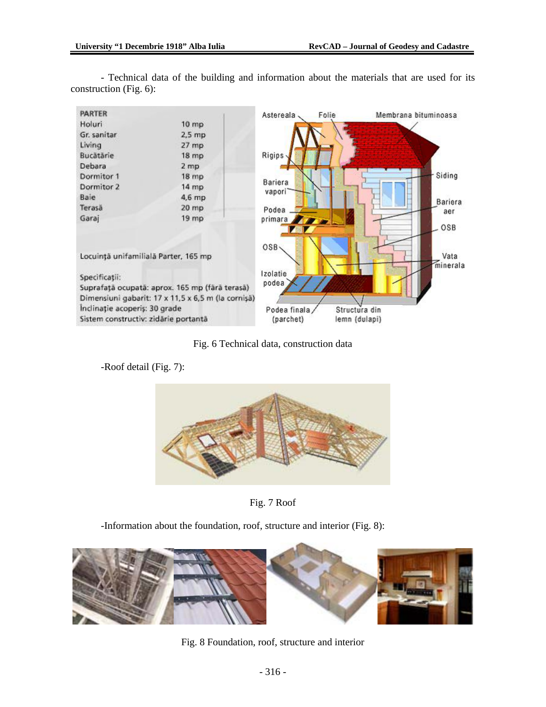

- Technical data of the building and information about the materials that are used for its construction (Fig. 6):

Fig. 6 Technical data, construction data

-Roof detail (Fig. 7):





-Information about the foundation, roof, structure and interior (Fig. 8):



Fig. 8 Foundation, roof, structure and interior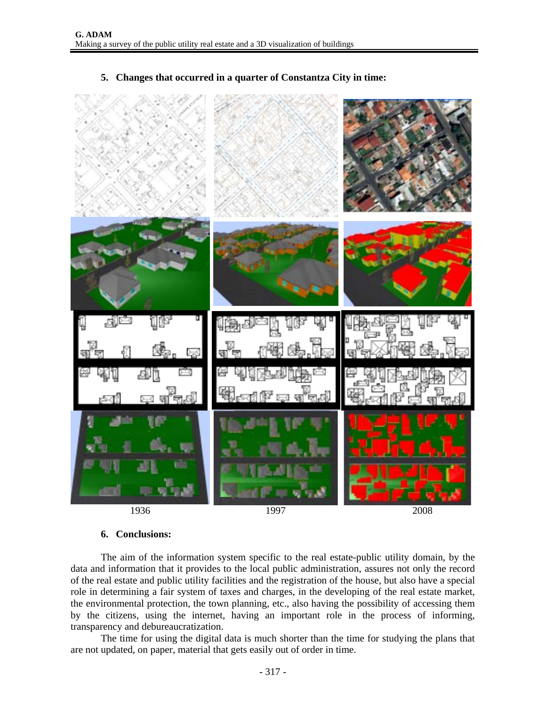

#### **5. Changes that occurred in a quarter of Constantza City in time:**

# **6. Conclusions:**

The aim of the information system specific to the real estate-public utility domain, by the data and information that it provides to the local public administration, assures not only the record of the real estate and public utility facilities and the registration of the house, but also have a special role in determining a fair system of taxes and charges, in the developing of the real estate market, the environmental protection, the town planning, etc., also having the possibility of accessing them by the citizens, using the internet, having an important role in the process of informing, transparency and debureaucratization.

The time for using the digital data is much shorter than the time for studying the plans that are not updated, on paper, material that gets easily out of order in time.